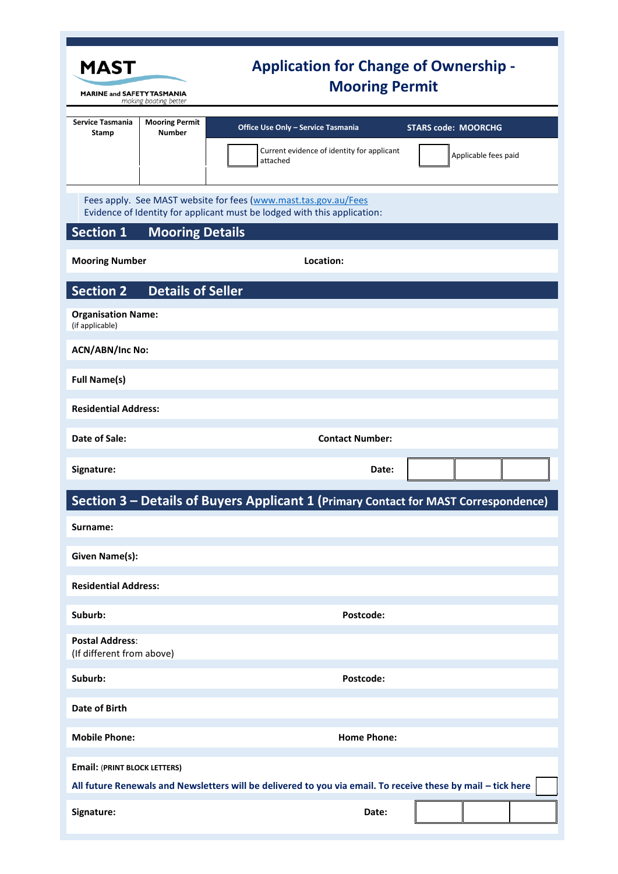| <b>MAST</b><br><b>MARINE and SAFETY TASMANIA</b><br>making boating better                                                                                                                 |                                        | <b>Application for Change of Ownership -</b><br><b>Mooring Permit</b>                        |                                                    |  |
|-------------------------------------------------------------------------------------------------------------------------------------------------------------------------------------------|----------------------------------------|----------------------------------------------------------------------------------------------|----------------------------------------------------|--|
| <b>Service Tasmania</b><br>Stamp                                                                                                                                                          | <b>Mooring Permit</b><br><b>Number</b> | Office Use Only - Service Tasmania<br>Current evidence of identity for applicant<br>attached | <b>STARS code: MOORCHG</b><br>Applicable fees paid |  |
| Fees apply. See MAST website for fees (www.mast.tas.gov.au/Fees<br>Evidence of Identity for applicant must be lodged with this application:<br><b>Section 1</b><br><b>Mooring Details</b> |                                        |                                                                                              |                                                    |  |
| <b>Mooring Number</b>                                                                                                                                                                     |                                        | Location:                                                                                    |                                                    |  |
| <b>Details of Seller</b><br><b>Section 2</b>                                                                                                                                              |                                        |                                                                                              |                                                    |  |
| <b>Organisation Name:</b><br>(if applicable)                                                                                                                                              |                                        |                                                                                              |                                                    |  |
| <b>ACN/ABN/Inc No:</b>                                                                                                                                                                    |                                        |                                                                                              |                                                    |  |
| <b>Full Name(s)</b>                                                                                                                                                                       |                                        |                                                                                              |                                                    |  |
| <b>Residential Address:</b>                                                                                                                                                               |                                        |                                                                                              |                                                    |  |
| Date of Sale:                                                                                                                                                                             |                                        | <b>Contact Number:</b>                                                                       |                                                    |  |
| Signature:                                                                                                                                                                                |                                        | Date:                                                                                        |                                                    |  |
|                                                                                                                                                                                           |                                        | Section 3 - Details of Buyers Applicant 1 (Primary Contact for MAST Correspondence)          |                                                    |  |
| Surname:                                                                                                                                                                                  |                                        |                                                                                              |                                                    |  |
| <b>Given Name(s):</b>                                                                                                                                                                     |                                        |                                                                                              |                                                    |  |
| <b>Residential Address:</b>                                                                                                                                                               |                                        |                                                                                              |                                                    |  |
| Suburb:                                                                                                                                                                                   |                                        | Postcode:                                                                                    |                                                    |  |
| <b>Postal Address:</b><br>(If different from above)                                                                                                                                       |                                        |                                                                                              |                                                    |  |
| Suburb:                                                                                                                                                                                   |                                        | Postcode:                                                                                    |                                                    |  |
| <b>Date of Birth</b>                                                                                                                                                                      |                                        |                                                                                              |                                                    |  |
| <b>Mobile Phone:</b>                                                                                                                                                                      |                                        | <b>Home Phone:</b>                                                                           |                                                    |  |
| <b>Email: (PRINT BLOCK LETTERS)</b>                                                                                                                                                       |                                        |                                                                                              |                                                    |  |
| All future Renewals and Newsletters will be delivered to you via email. To receive these by mail - tick here                                                                              |                                        |                                                                                              |                                                    |  |
| Signature:                                                                                                                                                                                |                                        | Date:                                                                                        |                                                    |  |